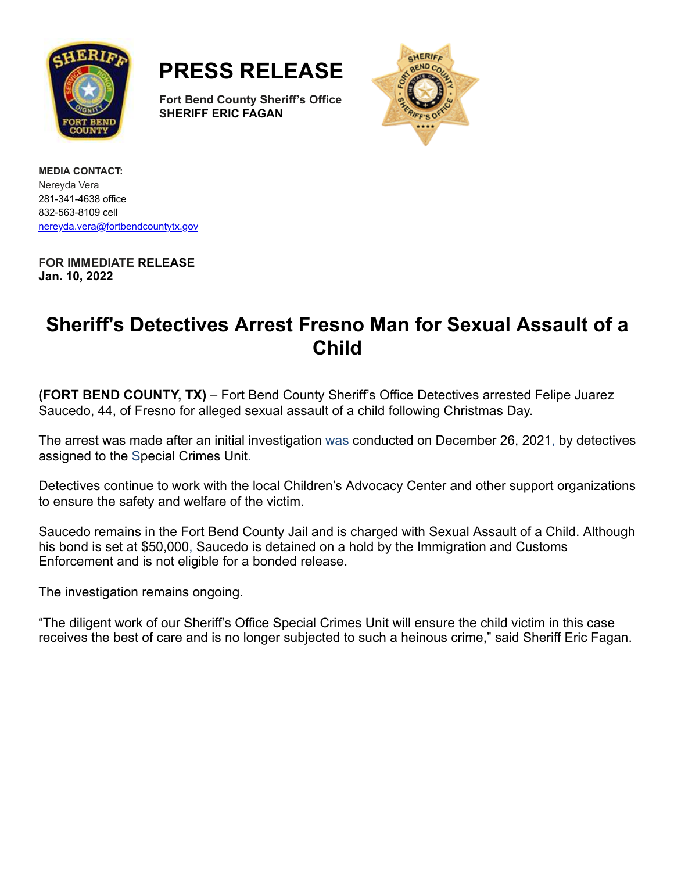

**PRESS RELEASE**

**Fort Bend County Sheriff's Office SHERIFF ERIC FAGAN**



**MEDIA CONTACT:** Nereyda Vera 281-341-4638 office 832-563-8109 cell [nereyda.vera@fortbendcountytx.gov](mailto:jacqueline.preston@fortbendcountytx.gov)

**FOR IMMEDIATE RELEASE Jan. 10, 2022**

## **Sheriff's Detectives Arrest Fresno Man for Sexual Assault of a Child**

**(FORT BEND COUNTY, TX)** – Fort Bend County Sheriff's Office Detectives arrested Felipe Juarez Saucedo, 44, of Fresno for alleged sexual assault of a child following Christmas Day.

The arrest was made after an initial investigation was conducted on December 26, 2021, by detectives assigned to the Special Crimes Unit.

Detectives continue to work with the local Children's Advocacy Center and other support organizations to ensure the safety and welfare of the victim.

Saucedo remains in the Fort Bend County Jail and is charged with Sexual Assault of a Child. Although his bond is set at \$50,000, Saucedo is detained on a hold by the Immigration and Customs Enforcement and is not eligible for a bonded release.

The investigation remains ongoing.

"The diligent work of our Sheriff's Office Special Crimes Unit will ensure the child victim in this case receives the best of care and is no longer subjected to such a heinous crime," said Sheriff Eric Fagan.